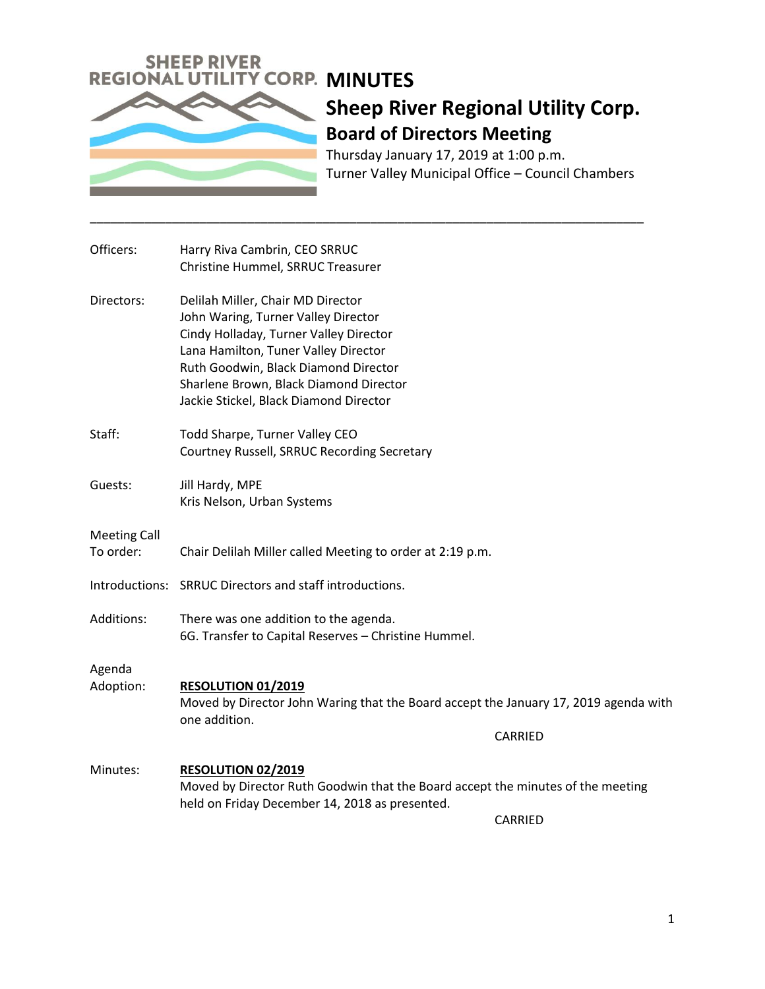

Thursday January 17, 2019 at 1:00 p.m. Turner Valley Municipal Office – Council Chambers

| Officers:                        | Harry Riva Cambrin, CEO SRRUC<br>Christine Hummel, SRRUC Treasurer                                                                                                                                                                                                                     |
|----------------------------------|----------------------------------------------------------------------------------------------------------------------------------------------------------------------------------------------------------------------------------------------------------------------------------------|
| Directors:                       | Delilah Miller, Chair MD Director<br>John Waring, Turner Valley Director<br>Cindy Holladay, Turner Valley Director<br>Lana Hamilton, Tuner Valley Director<br>Ruth Goodwin, Black Diamond Director<br>Sharlene Brown, Black Diamond Director<br>Jackie Stickel, Black Diamond Director |
| Staff:                           | Todd Sharpe, Turner Valley CEO<br>Courtney Russell, SRRUC Recording Secretary                                                                                                                                                                                                          |
| Guests:                          | Jill Hardy, MPE<br>Kris Nelson, Urban Systems                                                                                                                                                                                                                                          |
| <b>Meeting Call</b><br>To order: | Chair Delilah Miller called Meeting to order at 2:19 p.m.                                                                                                                                                                                                                              |
|                                  | Introductions: SRRUC Directors and staff introductions.                                                                                                                                                                                                                                |
| Additions:                       | There was one addition to the agenda.<br>6G. Transfer to Capital Reserves - Christine Hummel.                                                                                                                                                                                          |
| Agenda<br>Adoption:              | <b>RESOLUTION 01/2019</b><br>Moved by Director John Waring that the Board accept the January 17, 2019 agenda with<br>one addition.                                                                                                                                                     |
|                                  | CARRIED                                                                                                                                                                                                                                                                                |
| Minutes:                         | <b>RESOLUTION 02/2019</b><br>Moved by Director Ruth Goodwin that the Board accept the minutes of the meeting<br>held on Friday December 14, 2018 as presented.                                                                                                                         |
|                                  | <b>CARRIED</b>                                                                                                                                                                                                                                                                         |

\_\_\_\_\_\_\_\_\_\_\_\_\_\_\_\_\_\_\_\_\_\_\_\_\_\_\_\_\_\_\_\_\_\_\_\_\_\_\_\_\_\_\_\_\_\_\_\_\_\_\_\_\_\_\_\_\_\_\_\_\_\_\_\_\_\_\_\_\_\_\_\_\_\_\_\_\_\_\_\_\_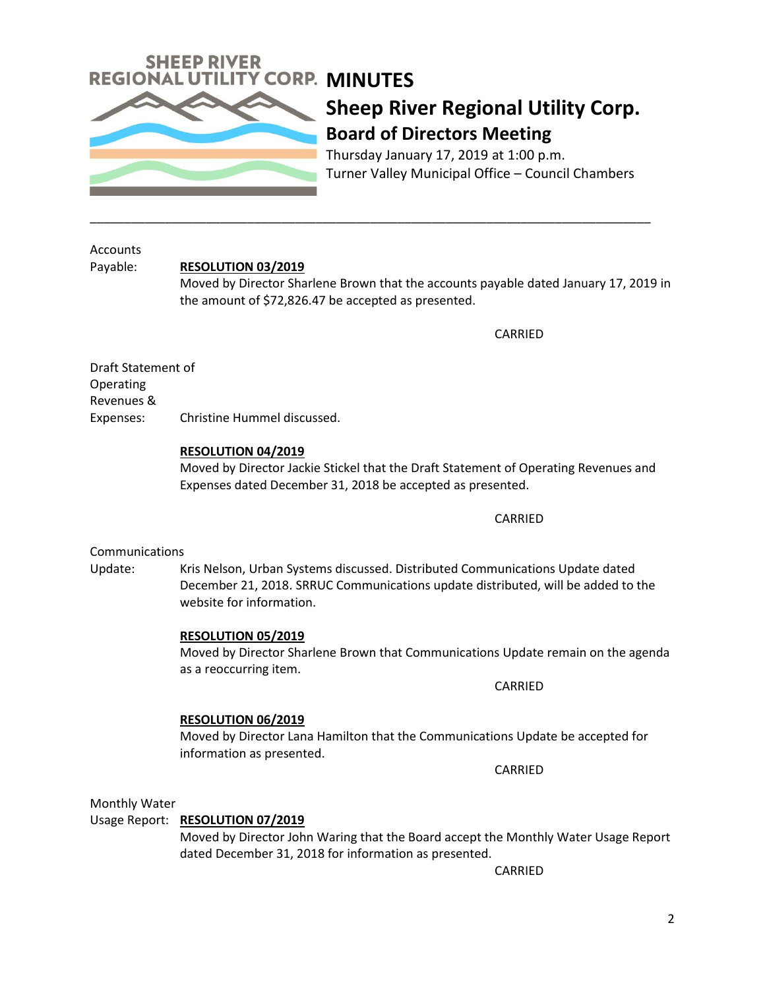

Thursday January 17, 2019 at 1:00 p.m. Turner Valley Municipal Office – Council Chambers

Accounts

### Payable: **RESOLUTION 03/2019**

Moved by Director Sharlene Brown that the accounts payable dated January 17, 2019 in the amount of \$72,826.47 be accepted as presented.

\_\_\_\_\_\_\_\_\_\_\_\_\_\_\_\_\_\_\_\_\_\_\_\_\_\_\_\_\_\_\_\_\_\_\_\_\_\_\_\_\_\_\_\_\_\_\_\_\_\_\_\_\_\_\_\_\_\_\_\_\_\_\_\_\_\_\_\_\_\_\_\_\_\_\_\_\_\_\_\_\_\_

**CARRIED** 

Draft Statement of Operating Revenues & Expenses: Christine Hummel discussed.

### **RESOLUTION 04/2019**

Moved by Director Jackie Stickel that the Draft Statement of Operating Revenues and Expenses dated December 31, 2018 be accepted as presented.

CARRIED

### **Communications**

Update: Kris Nelson, Urban Systems discussed. Distributed Communications Update dated December 21, 2018. SRRUC Communications update distributed, will be added to the website for information.

### **RESOLUTION 05/2019**

Moved by Director Sharlene Brown that Communications Update remain on the agenda as a reoccurring item.

CARRIED

## **RESOLUTION 06/2019**

Moved by Director Lana Hamilton that the Communications Update be accepted for information as presented.

CARRIED

Monthly Water

### Usage Report: **RESOLUTION 07/2019**

Moved by Director John Waring that the Board accept the Monthly Water Usage Report dated December 31, 2018 for information as presented.

CARRIED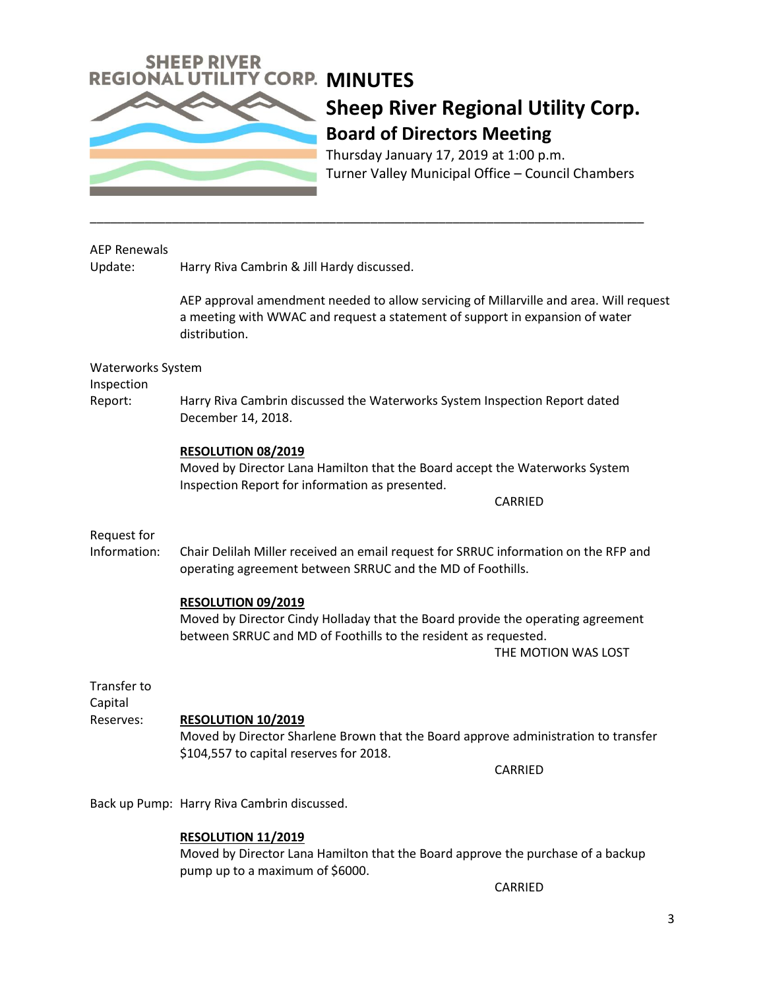

Thursday January 17, 2019 at 1:00 p.m. Turner Valley Municipal Office – Council Chambers

### AEP Renewals

Update: Harry Riva Cambrin & Jill Hardy discussed.

AEP approval amendment needed to allow servicing of Millarville and area. Will request a meeting with WWAC and request a statement of support in expansion of water distribution.

Waterworks System

Inspection

Report: Harry Riva Cambrin discussed the Waterworks System Inspection Report dated December 14, 2018.

\_\_\_\_\_\_\_\_\_\_\_\_\_\_\_\_\_\_\_\_\_\_\_\_\_\_\_\_\_\_\_\_\_\_\_\_\_\_\_\_\_\_\_\_\_\_\_\_\_\_\_\_\_\_\_\_\_\_\_\_\_\_\_\_\_\_\_\_\_\_\_\_\_\_\_\_\_\_\_\_\_

### **RESOLUTION 08/2019**

Moved by Director Lana Hamilton that the Board accept the Waterworks System Inspection Report for information as presented.

CARRIED

## Request for

Information: Chair Delilah Miller received an email request for SRRUC information on the RFP and operating agreement between SRRUC and the MD of Foothills.

### **RESOLUTION 09/2019**

Moved by Director Cindy Holladay that the Board provide the operating agreement between SRRUC and MD of Foothills to the resident as requested.

THE MOTION WAS LOST

Transfer to

Capital

## Reserves: **RESOLUTION 10/2019**

Moved by Director Sharlene Brown that the Board approve administration to transfer \$104,557 to capital reserves for 2018.

CARRIED

Back up Pump: Harry Riva Cambrin discussed.

### **RESOLUTION 11/2019**

Moved by Director Lana Hamilton that the Board approve the purchase of a backup pump up to a maximum of \$6000.

CARRIED